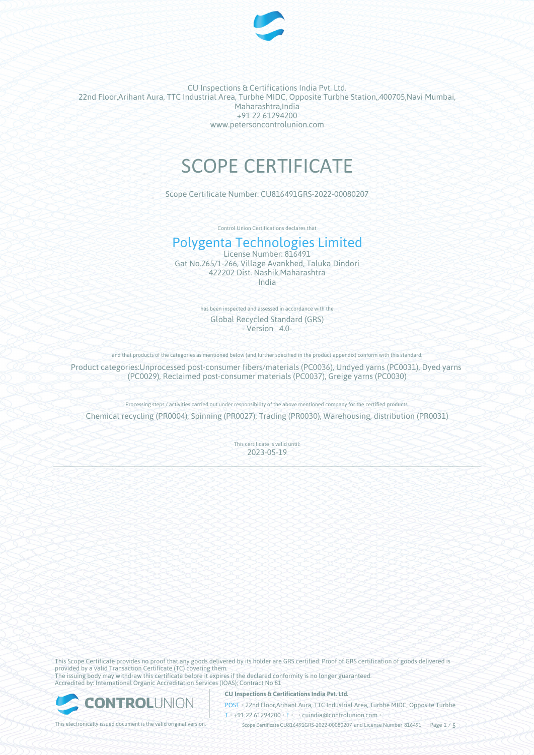

CU Inspections & Certifications India Pvt. Ltd. 22nd Floor,Arihant Aura, TTC Industrial Area, Turbhe MIDC, Opposite Turbhe Station,,400705,Navi Mumbai, Maharashtra,India +91 22 61294200 www.petersoncontrolunion.com

# SCOPE CERTIFICATE

Scope Certificate Number: CU816491GRS-2022-00080207

Control Union Certifications declares that

## Polygenta Technologies Limited

License Number: 816491 Gat No.265/1-266, Village Avankhed, Taluka Dindori 422202 Dist. Nashik,Maharashtra India

> has been inspected and assessed in accordance with the Global Recycled Standard (GRS) - Version 4.0-

and that products of the categories as mentioned below (and further specified in the product appendix) conform with this standard

Product categories:Unprocessed post-consumer fibers/materials (PC0036), Undyed yarns (PC0031), Dyed yarns (PC0029), Reclaimed post-consumer materials (PC0037), Greige yarns (PC0030)

Processing steps / activities carried out under responsibility of the above mentioned company for the certified products:

Chemical recycling (PR0004), Spinning (PR0027), Trading (PR0030), Warehousing, distribution (PR0031)

This certificate is valid until: 2023-05-19

This Scope Certificate provides no proof that any goods delivered by its holder are GRS certified. Proof of GRS certification of goods delivered is provided by a valid Transaction Certificate (TC) covering them. The issuing body may withdraw this certificate before it expires if the declared conformity is no longer guaranteed. Accredited by: International Organic Accreditation Services (IOAS); Contract No 81



**CU Inspections & Certifications India Pvt. Ltd.**

POST • 22nd Floor,Arihant Aura, TTC Industrial Area, Turbhe MIDC, Opposite Turbhe  $T \rightarrow 91 22 61294200$  **F** cuindia@controlunion.com •

This electronically issued document is the valid original version.  $\gtrsim$  Scope Certificate CU816491GRS-2022-00080207 and License Number 816491 Page 1 / 5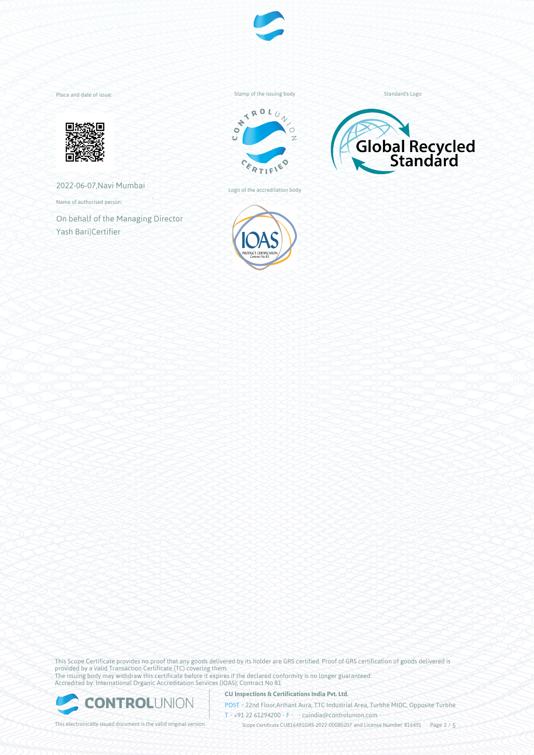

Place and date of issue:



2022-06-07,Navi Mumbai

Name of authorised person:

On behalf of the Managing Director Yash Bari|Certifier

Stamp of the issuing body



Logo of the accreditation body



Standard's Logo



This Scope Certificate provides no proof that any goods delivered by its holder are GRS certified. Proof of GRS certification of goods delivered is provided by a valid Transaction Certificate (TC) covering them. The issuing body may withdraw this certificate before it expires if the declared conformity is no longer guaranteed. Accredited by: International Organic Accreditation Services (IOAS); Contract No 81



**CU Inspections & Certifications India Pvt. Ltd.**

POST • 22nd Floor,Arihant Aura, TTC Industrial Area, Turbhe MIDC, Opposite Turbhe  $T \rightarrow 91 22 61294200$  **F** cuindia@controlunion.com •

This electronically issued document is the valid original version.  $\gtrsim$  Scope Certificate CU816491GRS-2022-00080207 and License Number 816491 Page 2 / 5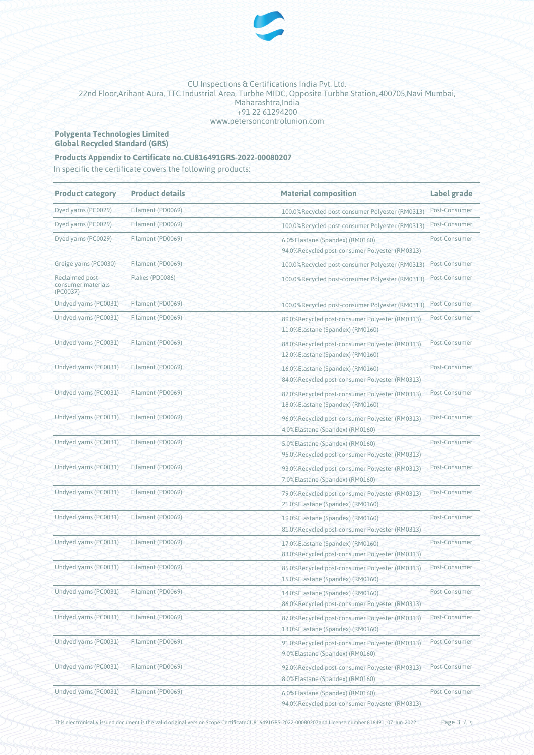

#### CU Inspections & Certifications India Pvt. Ltd. 22nd Floor,Arihant Aura, TTC Industrial Area, Turbhe MIDC, Opposite Turbhe Station,,400705,Navi Mumbai, Maharashtra,India +91 22 61294200 www.petersoncontrolunion.com

#### **Polygenta Technologies Limited Global Recycled Standard (GRS)**

### **Products Appendix to Certificate no.CU816491GRS-2022-00080207**

In specific the certificate covers the following products:

| <b>Product category</b>                           | <b>Product details</b> | <b>Material composition</b>                                                        | Label grade   |  |
|---------------------------------------------------|------------------------|------------------------------------------------------------------------------------|---------------|--|
| Dyed yarns (PC0029)                               | Filament (PD0069)      | 100.0%Recycled post-consumer Polyester (RM0313)                                    | Post-Consumer |  |
| Dyed yarns (PC0029)                               | Filament (PD0069)      | 100.0%Recycled post-consumer Polyester (RM0313)                                    | Post-Consumer |  |
| Dyed yarns (PC0029)                               | Filament (PD0069)      | 6.0%Elastane (Spandex) (RM0160)<br>94.0%Recycled post-consumer Polyester (RM0313)  | Post-Consumer |  |
| Greige yarns (PC0030)                             | Filament (PD0069)      | 100.0%Recycled post-consumer Polyester (RM0313)                                    | Post-Consumer |  |
| Reclaimed post-<br>consumer materials<br>(PC0037) | Flakes (PD0086)        | 100.0%Recycled post-consumer Polyester (RM0313)                                    | Post-Consumer |  |
| Undyed yarns (PC0031)                             | Filament (PD0069)      | 100.0%Recycled post-consumer Polyester (RM0313)                                    | Post-Consumer |  |
| Undyed yarns (PC0031)                             | Filament (PD0069)      | 89.0%Recycled post-consumer Polyester (RM0313)<br>11.0%Elastane (Spandex) (RM0160) | Post-Consumer |  |
| Undyed yarns (PC0031)                             | Filament (PD0069)      | 88.0%Recycled post-consumer Polyester (RM0313)<br>12.0%Elastane (Spandex) (RM0160) | Post-Consumer |  |
| Undyed yarns (PC0031)                             | Filament (PD0069)      | 16.0%Elastane (Spandex) (RM0160)<br>84.0%Recycled post-consumer Polyester (RM0313) | Post-Consumer |  |
| Undyed yarns (PC0031)                             | Filament (PD0069)      | 82.0%Recycled post-consumer Polyester (RM0313)<br>18.0%Elastane (Spandex) (RM0160) | Post-Consumer |  |
| Undyed yarns (PC0031)                             | Filament (PD0069)      | 96.0%Recycled post-consumer Polyester (RM0313)<br>4.0%Elastane (Spandex) (RM0160)  | Post-Consumer |  |
| Undyed yarns (PC0031)                             | Filament (PD0069)      | 5.0%Elastane (Spandex) (RM0160)<br>95.0%Recycled post-consumer Polyester (RM0313)  | Post-Consumer |  |
| Undyed yarns (PC0031)                             | Filament (PD0069)      | 93.0%Recycled post-consumer Polyester (RM0313)<br>7.0%Elastane (Spandex) (RM0160)  | Post-Consumer |  |
| Undyed yarns (PC0031)                             | Filament (PD0069)      | 79.0%Recycled post-consumer Polyester (RM0313)<br>21.0%Elastane (Spandex) (RM0160) | Post-Consumer |  |
| Undyed yarns (PC0031)                             | Filament (PD0069)      | 19.0%Elastane (Spandex) (RM0160)<br>81.0%Recycled post-consumer Polyester (RM0313) | Post-Consumer |  |
| Undyed yarns (PC0031)                             | Filament (PD0069)      | 17.0%Elastane (Spandex) (RM0160)<br>83.0%Recycled post-consumer Polyester (RM0313) | Post-Consumer |  |
| Undyed yarns (PC0031)                             | Filament (PD0069)      | 85.0%Recycled post-consumer Polyester (RM0313)<br>15.0%Elastane (Spandex) (RM0160) | Post-Consumer |  |
| Undyed yarns (PC0031)                             | Filament (PD0069)      | 14.0%Elastane (Spandex) (RM0160)<br>86.0%Recycled post-consumer Polyester (RM0313) | Post-Consumer |  |
| Undyed yarns (PC0031)                             | Filament (PD0069)      | 87.0%Recycled post-consumer Polyester (RM0313)<br>13.0%Elastane (Spandex) (RM0160) | Post-Consumer |  |
| Undyed yarns (PC0031)                             | Filament (PD0069)      | 91.0%Recycled post-consumer Polyester (RM0313)<br>9.0%Elastane (Spandex) (RM0160)  | Post-Consumer |  |
| Undyed yarns (PC0031)                             | Filament (PD0069)      | 92.0%Recycled post-consumer Polyester (RM0313)<br>8.0%Elastane (Spandex) (RM0160)  | Post-Consumer |  |
| Undyed yarns (PC0031)                             | Filament (PD0069)      | 6.0%Elastane (Spandex) (RM0160)<br>94.0%Recycled post-consumer Polyester (RM0313)  | Post-Consumer |  |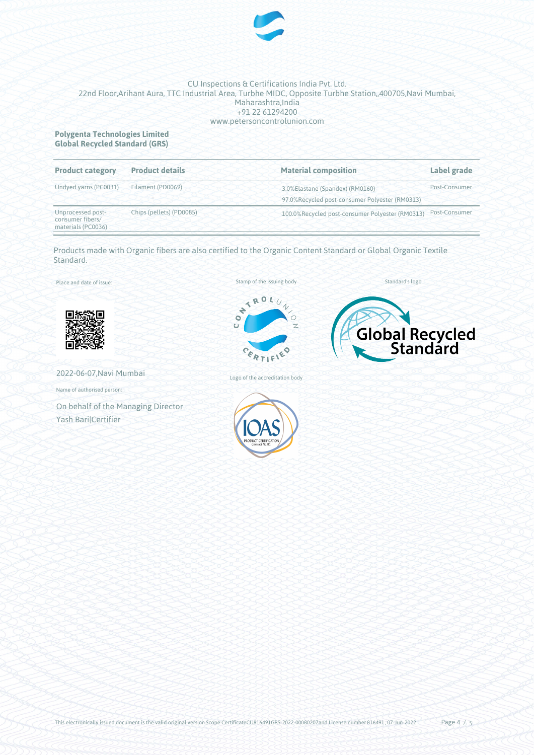

#### CU Inspections & Certifications India Pvt. Ltd. 22nd Floor,Arihant Aura, TTC Industrial Area, Turbhe MIDC, Opposite Turbhe Station,,400705,Navi Mumbai, Maharashtra, India +91 22 61294200 www.petersoncontrolunion.com

#### **Polygenta Technologies Limited Global Recycled Standard (GRS)**

| <b>Product category</b>                                     | <b>Product details</b>   | <b>Material composition</b>                                                       | Label grade   |  |
|-------------------------------------------------------------|--------------------------|-----------------------------------------------------------------------------------|---------------|--|
| Undyed yarns (PC0031)                                       | Filament (PD0069)        | 3.0%Elastane (Spandex) (RM0160)<br>97.0%Recycled post-consumer Polyester (RM0313) | Post-Consumer |  |
| Unprocessed post-<br>consumer fibers/<br>materials (PC0036) | Chips (pellets) (PD0085) | 100.0%Recycled post-consumer Polyester (RM0313)                                   | Post-Consumer |  |

Products made with Organic fibers are also certified to the Organic Content Standard or Global Organic Textile Standard.

Place and date of issue:



2022-06-07,Navi Mumbai

Name of authorised person:

On behalf of the Managing Director Yash Bari|Certifier





Standard's logo

Global Recycled